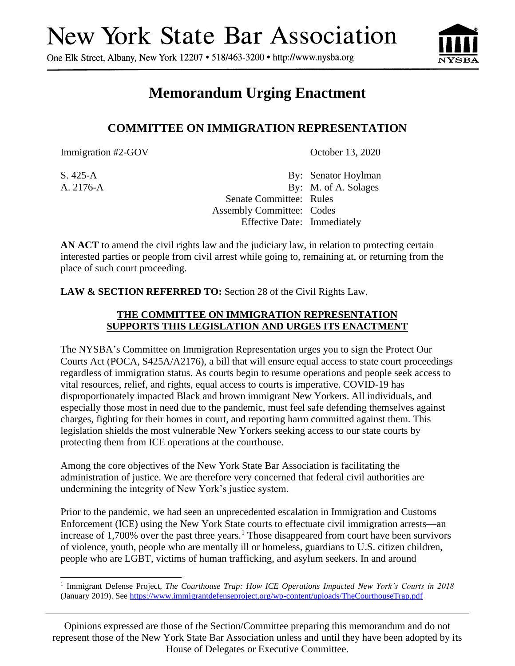## **New York State Bar Association**

One Elk Street, Albany, New York 12207 • 518/463-3200 • http://www.nysba.org



## **Memorandum Urging Enactment**

## **COMMITTEE ON IMMIGRATION REPRESENTATION**

Immigration #2-GOV October 13, 2020

S. 425-A By: Senator Hoylman A. 2176-A By: M. of A. Solages Senate Committee: Rules Assembly Committee: Codes Effective Date: Immediately

**AN ACT** to amend the civil rights law and the judiciary law, in relation to protecting certain interested parties or people from civil arrest while going to, remaining at, or returning from the place of such court proceeding.

**LAW & SECTION REFERRED TO:** Section 28 of the Civil Rights Law.

## **THE COMMITTEE ON IMMIGRATION REPRESENTATION SUPPORTS THIS LEGISLATION AND URGES ITS ENACTMENT**

The NYSBA's Committee on Immigration Representation urges you to sign the Protect Our Courts Act (POCA, S425A/A2176), a bill that will ensure equal access to state court proceedings regardless of immigration status. As courts begin to resume operations and people seek access to vital resources, relief, and rights, equal access to courts is imperative. COVID-19 has disproportionately impacted Black and brown immigrant New Yorkers. All individuals, and especially those most in need due to the pandemic, must feel safe defending themselves against charges, fighting for their homes in court, and reporting harm committed against them. This legislation shields the most vulnerable New Yorkers seeking access to our state courts by protecting them from ICE operations at the courthouse.

Among the core objectives of the New York State Bar Association is facilitating the administration of justice. We are therefore very concerned that federal civil authorities are undermining the integrity of New York's justice system.

Prior to the pandemic, we had seen an unprecedented escalation in Immigration and Customs Enforcement (ICE) using the New York State courts to effectuate civil immigration arrests—an increase of  $1,700\%$  over the past three years.<sup>1</sup> Those disappeared from court have been survivors of violence, youth, people who are mentally ill or homeless, guardians to U.S. citizen children, people who are LGBT, victims of human trafficking, and asylum seekers. In and around

Opinions expressed are those of the Section/Committee preparing this memorandum and do not represent those of the New York State Bar Association unless and until they have been adopted by its House of Delegates or Executive Committee.

<sup>1</sup> Immigrant Defense Project, *The Courthouse Trap: How ICE Operations Impacted New York's Courts in 2018* (January 2019). See<https://www.immigrantdefenseproject.org/wp-content/uploads/TheCourthouseTrap.pdf>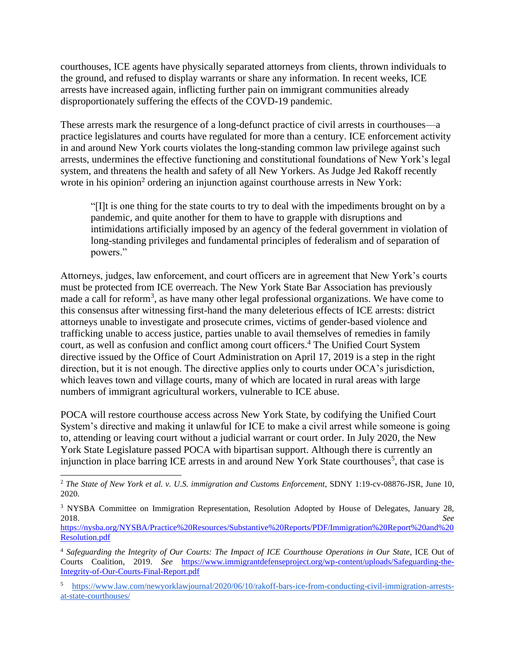courthouses, ICE agents have physically separated attorneys from clients, thrown individuals to the ground, and refused to display warrants or share any information. In recent weeks, ICE arrests have increased again, inflicting further pain on immigrant communities already disproportionately suffering the effects of the COVD-19 pandemic.

These arrests mark the resurgence of a long-defunct practice of civil arrests in courthouses—a practice legislatures and courts have regulated for more than a century. ICE enforcement activity in and around New York courts violates the long-standing common law privilege against such arrests, undermines the effective functioning and constitutional foundations of New York's legal system, and threatens the health and safety of all New Yorkers. As Judge Jed Rakoff recently wrote in his opinion<sup>2</sup> ordering an injunction against courthouse arrests in New York:

"[I]t is one thing for the state courts to try to deal with the impediments brought on by a pandemic, and quite another for them to have to grapple with disruptions and intimidations artificially imposed by an agency of the federal government in violation of long-standing privileges and fundamental principles of federalism and of separation of powers."

Attorneys, judges, law enforcement, and court officers are in agreement that New York's courts must be protected from ICE overreach. The New York State Bar Association has previously made a call for reform<sup>3</sup>, as have many other legal professional organizations. We have come to this consensus after witnessing first-hand the many deleterious effects of ICE arrests: district attorneys unable to investigate and prosecute crimes, victims of gender-based violence and trafficking unable to access justice, parties unable to avail themselves of remedies in family court, as well as confusion and conflict among court officers.<sup>4</sup> The Unified Court System directive issued by the Office of Court Administration on April 17, 2019 is a step in the right direction, but it is not enough. The directive applies only to courts under OCA's jurisdiction, which leaves town and village courts, many of which are located in rural areas with large numbers of immigrant agricultural workers, vulnerable to ICE abuse.

POCA will restore courthouse access across New York State, by codifying the Unified Court System's directive and making it unlawful for ICE to make a civil arrest while someone is going to, attending or leaving court without a judicial warrant or court order. In July 2020, the New York State Legislature passed POCA with bipartisan support. Although there is currently an injunction in place barring ICE arrests in and around New York State courthouses<sup>5</sup>, that case is

<sup>5</sup> [https://www.law.com/newyorklawjournal/2020/06/10/rakoff-bars-ice-from-conducting-civil-immigration-arrests](https://www.law.com/newyorklawjournal/2020/06/10/rakoff-bars-ice-from-conducting-civil-immigration-arrests-at-state-courthouses/)[at-state-courthouses/](https://www.law.com/newyorklawjournal/2020/06/10/rakoff-bars-ice-from-conducting-civil-immigration-arrests-at-state-courthouses/)

<sup>2</sup> *The State of New York et al. v. U.S. immigration and Customs Enforcement*, SDNY 1:19-cv-08876-JSR, June 10, 2020.

<sup>3</sup> NYSBA Committee on Immigration Representation, Resolution Adopted by House of Delegates, January 28, 2018. *See*

[https://nysba.org/NYSBA/Practice%20Resources/Substantive%20Reports/PDF/Immigration%20Report%20and%20](https://nysba.org/NYSBA/Practice%20Resources/Substantive%20Reports/PDF/Immigration%20Report%20and%20Resolution.pdf) [Resolution.pdf](https://nysba.org/NYSBA/Practice%20Resources/Substantive%20Reports/PDF/Immigration%20Report%20and%20Resolution.pdf)

<sup>4</sup> *Safeguarding the Integrity of Our Courts: The Impact of ICE Courthouse Operations in Our State*, ICE Out of Courts Coalition, 2019. *See* [https://www.immigrantdefenseproject.org/wp-content/uploads/Safeguarding-the-](https://www.immigrantdefenseproject.org/wp-content/uploads/Safeguarding-the-Integrity-of-Our-Courts-Final-Report.pdf)[Integrity-of-Our-Courts-Final-Report.pdf](https://www.immigrantdefenseproject.org/wp-content/uploads/Safeguarding-the-Integrity-of-Our-Courts-Final-Report.pdf)